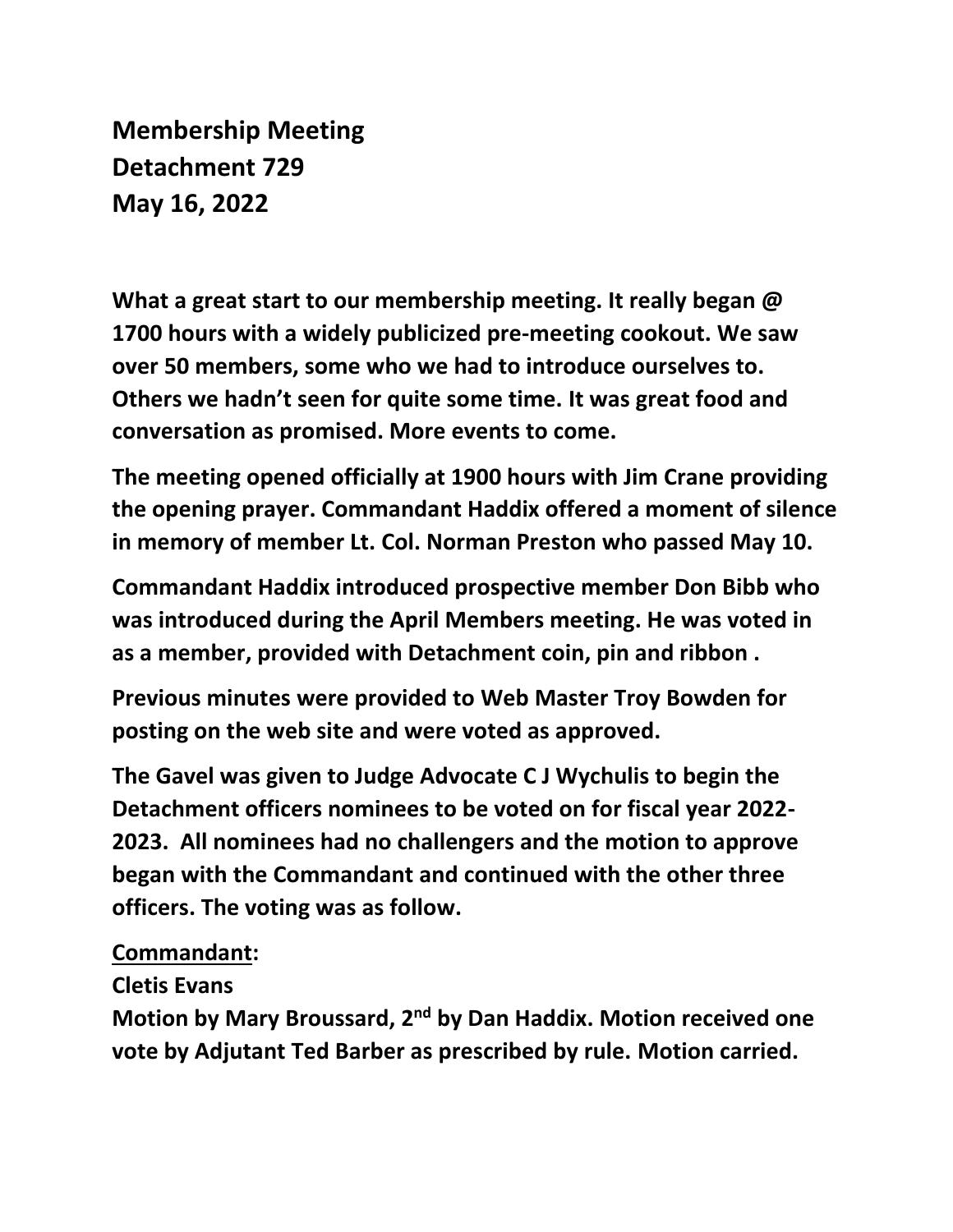**Membership Meeting Detachment 729 May 16, 2022**

**What a great start to our membership meeting. It really began @ 1700 hours with a widely publicized pre-meeting cookout. We saw over 50 members, some who we had to introduce ourselves to. Others we hadn't seen for quite some time. It was great food and conversation as promised. More events to come.**

**The meeting opened officially at 1900 hours with Jim Crane providing the opening prayer. Commandant Haddix offered a moment of silence in memory of member Lt. Col. Norman Preston who passed May 10.**

**Commandant Haddix introduced prospective member Don Bibb who was introduced during the April Members meeting. He was voted in as a member, provided with Detachment coin, pin and ribbon .** 

**Previous minutes were provided to Web Master Troy Bowden for posting on the web site and were voted as approved.**

**The Gavel was given to Judge Advocate C J Wychulis to begin the Detachment officers nominees to be voted on for fiscal year 2022- 2023. All nominees had no challengers and the motion to approve began with the Commandant and continued with the other three officers. The voting was as follow.**

## **Commandant:**

**Cletis Evans** 

**Motion by Mary Broussard, 2nd by Dan Haddix. Motion received one vote by Adjutant Ted Barber as prescribed by rule. Motion carried.**